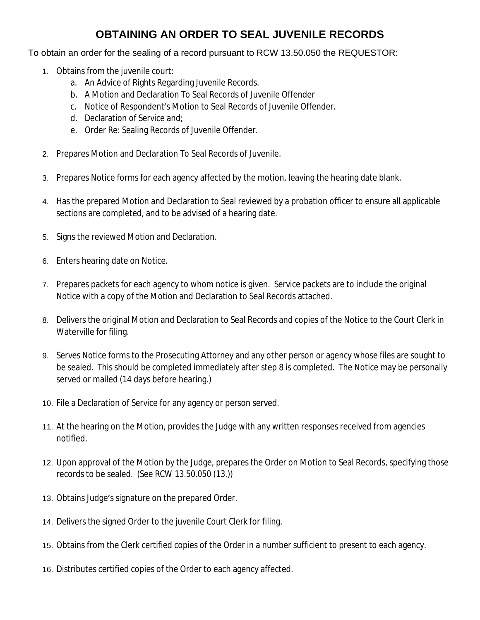# **OBTAINING AN ORDER TO SEAL JUVENILE RECORDS**

# To obtain an order for the sealing of a record pursuant to RCW 13.50.050 the REQUESTOR:

- 1. Obtains from the juvenile court:
	- a. An Advice of Rights Regarding Juvenile Records.
	- b. A Motion and Declaration To Seal Records of Juvenile Offender
	- c. Notice of Respondent's Motion to Seal Records of Juvenile Offender.
	- d. Declaration of Service and;
	- e. Order Re: Sealing Records of Juvenile Offender.
- 2. Prepares Motion and Declaration To Seal Records of Juvenile.
- 3. Prepares Notice forms for each agency affected by the motion, leaving the hearing date blank.
- 4. Has the prepared Motion and Declaration to Seal reviewed by a probation officer to ensure all applicable sections are completed, and to be advised of a hearing date.
- 5. Signs the reviewed Motion and Declaration.
- 6. Enters hearing date on Notice.
- 7. Prepares packets for each agency to whom notice is given. Service packets are to include the original Notice with a copy of the Motion and Declaration to Seal Records attached.
- 8. Delivers the original Motion and Declaration to Seal Records and copies of the Notice to the Court Clerk in Waterville for filing.
- 9. Serves Notice forms to the Prosecuting Attorney and any other person or agency whose files are sought to be sealed. This should be completed immediately after step 8 is completed. The Notice may be personally served or mailed (14 days before hearing.)
- 10. File a Declaration of Service for any agency or person served.
- 11. At the hearing on the Motion, provides the Judge with any written responses received from agencies notified.
- 12. Upon approval of the Motion by the Judge, prepares the Order on Motion to Seal Records, specifying those records to be sealed. (See RCW 13.50.050 (13.))
- 13. Obtains Judge's signature on the prepared Order.
- 14. Delivers the signed Order to the juvenile Court Clerk for filing.
- 15. Obtains from the Clerk certified copies of the Order in a number sufficient to present to each agency.
- 16. Distributes certified copies of the Order to each agency affected.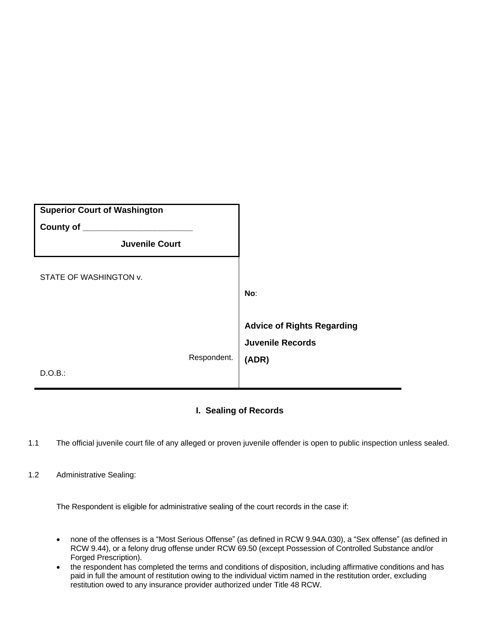| <b>Superior Court of Washington</b><br>County of _____ |             |                                                                       |
|--------------------------------------------------------|-------------|-----------------------------------------------------------------------|
| <b>Juvenile Court</b>                                  |             |                                                                       |
| STATE OF WASHINGTON v.                                 |             | No:                                                                   |
|                                                        | Respondent. | <b>Advice of Rights Regarding</b><br><b>Juvenile Records</b><br>(ADR) |
| D.O.B.:                                                |             |                                                                       |

# **I. Sealing of Records**

- 1.1 The official juvenile court file of any alleged or proven juvenile offender is open to public inspection unless sealed.
- 1.2 Administrative Sealing:

The Respondent is eligible for administrative sealing of the court records in the case if:

- none of the offenses is a "Most Serious Offense" (as defined in RCW 9.94A.030), a "Sex offense" (as defined in RCW 9.44), or a felony drug offense under RCW 69.50 (except Possession of Controlled Substance and/or Forged Prescription).
- the respondent has completed the terms and conditions of disposition, including affirmative conditions and has paid in full the amount of restitution owing to the individual victim named in the restitution order, excluding restitution owed to any insurance provider authorized under Title 48 RCW.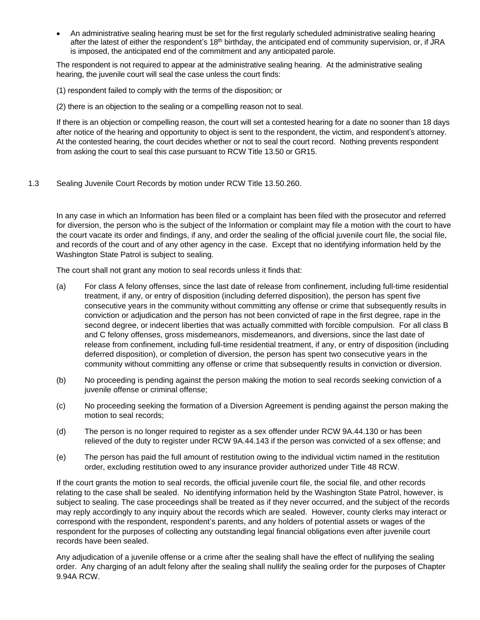An administrative sealing hearing must be set for the first regularly scheduled administrative sealing hearing after the latest of either the respondent's 18<sup>th</sup> birthday, the anticipated end of community supervision, or, if JRA is imposed, the anticipated end of the commitment and any anticipated parole.

The respondent is not required to appear at the administrative sealing hearing. At the administrative sealing hearing, the juvenile court will seal the case unless the court finds:

(1) respondent failed to comply with the terms of the disposition; or

(2) there is an objection to the sealing or a compelling reason not to seal.

If there is an objection or compelling reason, the court will set a contested hearing for a date no sooner than 18 days after notice of the hearing and opportunity to object is sent to the respondent, the victim, and respondent's attorney. At the contested hearing, the court decides whether or not to seal the court record. Nothing prevents respondent from asking the court to seal this case pursuant to RCW Title 13.50 or GR15.

1.3 Sealing Juvenile Court Records by motion under RCW Title 13.50.260.

In any case in which an Information has been filed or a complaint has been filed with the prosecutor and referred for diversion, the person who is the subject of the Information or complaint may file a motion with the court to have the court vacate its order and findings, if any, and order the sealing of the official juvenile court file, the social file, and records of the court and of any other agency in the case. Except that no identifying information held by the Washington State Patrol is subject to sealing.

The court shall not grant any motion to seal records unless it finds that:

- (a) For class A felony offenses, since the last date of release from confinement, including full-time residential treatment, if any, or entry of disposition (including deferred disposition), the person has spent five consecutive years in the community without committing any offense or crime that subsequently results in conviction or adjudication and the person has not been convicted of rape in the first degree, rape in the second degree, or indecent liberties that was actually committed with forcible compulsion. For all class B and C felony offenses, gross misdemeanors, misdemeanors, and diversions, since the last date of release from confinement, including full-time residential treatment, if any, or entry of disposition (including deferred disposition), or completion of diversion, the person has spent two consecutive years in the community without committing any offense or crime that subsequently results in conviction or diversion.
- (b) No proceeding is pending against the person making the motion to seal records seeking conviction of a juvenile offense or criminal offense;
- (c) No proceeding seeking the formation of a Diversion Agreement is pending against the person making the motion to seal records;
- (d) The person is no longer required to register as a sex offender under RCW 9A.44.130 or has been relieved of the duty to register under RCW 9A.44.143 if the person was convicted of a sex offense; and
- (e) The person has paid the full amount of restitution owing to the individual victim named in the restitution order, excluding restitution owed to any insurance provider authorized under Title 48 RCW.

If the court grants the motion to seal records, the official juvenile court file, the social file, and other records relating to the case shall be sealed. No identifying information held by the Washington State Patrol, however, is subject to sealing. The case proceedings shall be treated as if they never occurred, and the subject of the records may reply accordingly to any inquiry about the records which are sealed. However, county clerks may interact or correspond with the respondent, respondent's parents, and any holders of potential assets or wages of the respondent for the purposes of collecting any outstanding legal financial obligations even after juvenile court records have been sealed.

Any adjudication of a juvenile offense or a crime after the sealing shall have the effect of nullifying the sealing order. Any charging of an adult felony after the sealing shall nullify the sealing order for the purposes of Chapter 9.94A RCW.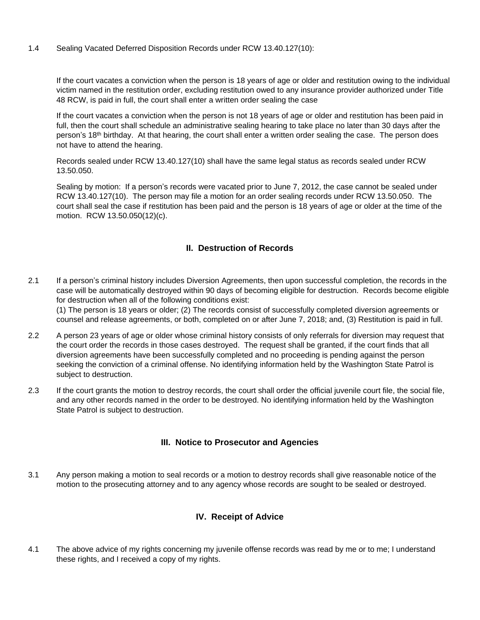1.4 Sealing Vacated Deferred Disposition Records under RCW 13.40.127(10):

If the court vacates a conviction when the person is 18 years of age or older and restitution owing to the individual victim named in the restitution order, excluding restitution owed to any insurance provider authorized under Title 48 RCW, is paid in full, the court shall enter a written order sealing the case

If the court vacates a conviction when the person is not 18 years of age or older and restitution has been paid in full, then the court shall schedule an administrative sealing hearing to take place no later than 30 days after the person's 18th birthday. At that hearing, the court shall enter a written order sealing the case. The person does not have to attend the hearing.

Records sealed under RCW 13.40.127(10) shall have the same legal status as records sealed under RCW 13.50.050.

Sealing by motion: If a person's records were vacated prior to June 7, 2012, the case cannot be sealed under RCW 13.40.127(10). The person may file a motion for an order sealing records under RCW 13.50.050. The court shall seal the case if restitution has been paid and the person is 18 years of age or older at the time of the motion. RCW 13.50.050(12)(c).

### **II. Destruction of Records**

2.1 If a person's criminal history includes Diversion Agreements, then upon successful completion, the records in the case will be automatically destroyed within 90 days of becoming eligible for destruction. Records become eligible for destruction when all of the following conditions exist:

(1) The person is 18 years or older; (2) The records consist of successfully completed diversion agreements or counsel and release agreements, or both, completed on or after June 7, 2018; and, (3) Restitution is paid in full.

- 2.2 A person 23 years of age or older whose criminal history consists of only referrals for diversion may request that the court order the records in those cases destroyed. The request shall be granted, if the court finds that all diversion agreements have been successfully completed and no proceeding is pending against the person seeking the conviction of a criminal offense. No identifying information held by the Washington State Patrol is subject to destruction.
- 2.3 If the court grants the motion to destroy records, the court shall order the official juvenile court file, the social file, and any other records named in the order to be destroyed. No identifying information held by the Washington State Patrol is subject to destruction.

### **III. Notice to Prosecutor and Agencies**

3.1 Any person making a motion to seal records or a motion to destroy records shall give reasonable notice of the motion to the prosecuting attorney and to any agency whose records are sought to be sealed or destroyed.

# **IV. Receipt of Advice**

4.1 The above advice of my rights concerning my juvenile offense records was read by me or to me; I understand these rights, and I received a copy of my rights.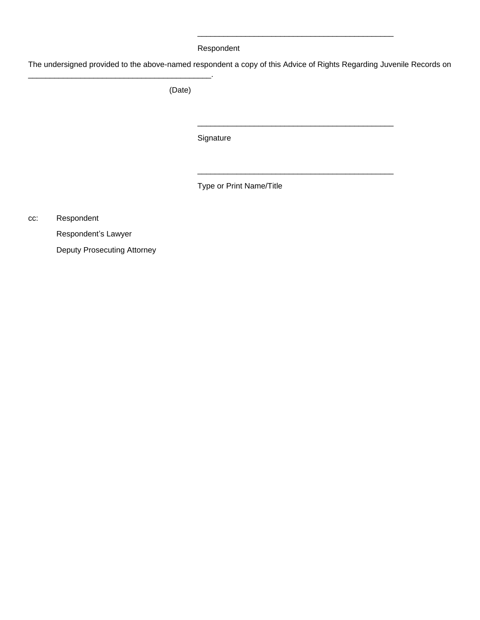#### Respondent

The undersigned provided to the above-named respondent a copy of this Advice of Rights Regarding Juvenile Records on

\_\_\_\_\_\_\_\_\_\_\_\_\_\_\_\_\_\_\_\_\_\_\_\_\_\_\_\_\_\_\_\_\_\_\_\_\_\_\_\_\_\_\_\_\_

\_\_\_\_\_\_\_\_\_\_\_\_\_\_\_\_\_\_\_\_\_\_\_\_\_\_\_\_\_\_\_\_\_\_\_\_\_\_\_\_\_\_\_\_\_

\_\_\_\_\_\_\_\_\_\_\_\_\_\_\_\_\_\_\_\_\_\_\_\_\_\_\_\_\_\_\_\_\_\_\_\_\_\_\_\_\_\_\_\_\_

(Date)

**Signature** 

Type or Print Name/Title

cc: Respondent

Respondent's Lawyer

Deputy Prosecuting Attorney

\_\_\_\_\_\_\_\_\_\_\_\_\_\_\_\_\_\_\_\_\_\_\_\_\_\_\_\_\_\_\_\_\_\_\_\_\_\_\_\_\_\_.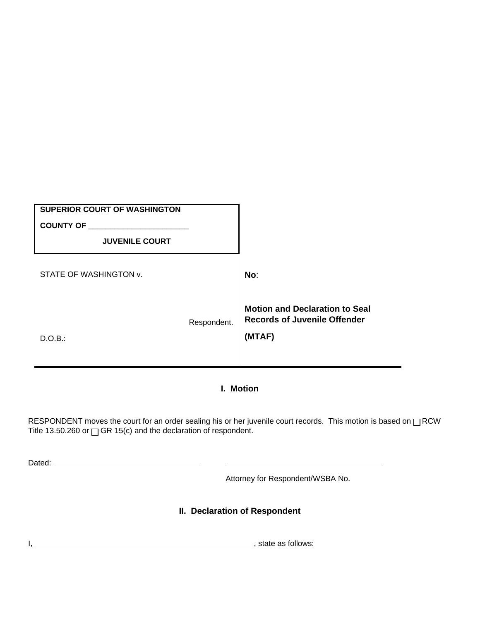| <b>SUPERIOR COURT OF WASHINGTON</b><br><b>COUNTY OF</b> |             |                                                                                        |
|---------------------------------------------------------|-------------|----------------------------------------------------------------------------------------|
| <b>JUVENILE COURT</b>                                   |             |                                                                                        |
| STATE OF WASHINGTON v.                                  |             | No:                                                                                    |
| D.O.B.:                                                 | Respondent. | <b>Motion and Declaration to Seal</b><br><b>Records of Juvenile Offender</b><br>(MTAF) |

# **I. Motion**

RESPONDENT moves the court for an order sealing his or her juvenile court records. This motion is based on  $\Box$ RCW Title 13.50.260 or  $\Box$  GR 15(c) and the declaration of respondent.

Dated:

Attorney for Respondent/WSBA No.

# **II. Declaration of Respondent**

I, , state as follows: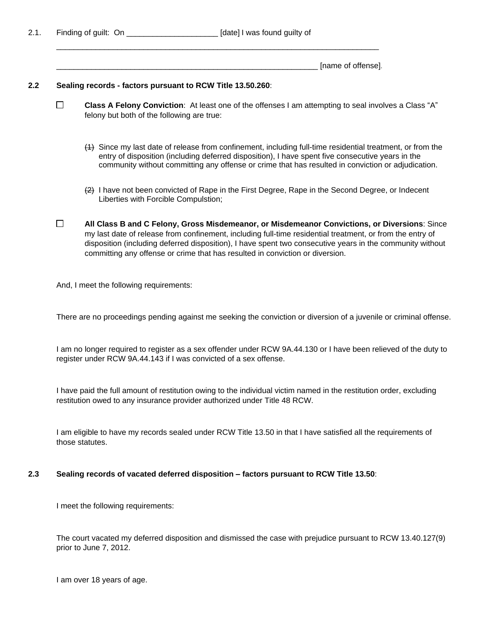2.1. Finding of guilt: On **Example 2.1.** [date] I was found guilty of

\_\_\_\_\_\_\_\_\_\_\_\_\_\_\_\_\_\_\_\_\_\_\_\_\_\_\_\_\_\_\_\_\_\_\_\_\_\_\_\_\_\_\_\_\_\_\_\_\_\_\_\_\_\_\_\_\_\_\_\_ [name of offense].

#### **2.2 Sealing records - factors pursuant to RCW Title 13.50.260**:

 $\Box$ **Class A Felony Conviction**: At least one of the offenses I am attempting to seal involves a Class "A" felony but both of the following are true:

\_\_\_\_\_\_\_\_\_\_\_\_\_\_\_\_\_\_\_\_\_\_\_\_\_\_\_\_\_\_\_\_\_\_\_\_\_\_\_\_\_\_\_\_\_\_\_\_\_\_\_\_\_\_\_\_\_\_\_\_\_\_\_\_\_\_\_\_\_\_\_\_\_\_

- (1) Since my last date of release from confinement, including full-time residential treatment, or from the entry of disposition (including deferred disposition), I have spent five consecutive years in the community without committing any offense or crime that has resulted in conviction or adjudication.
- (2) I have not been convicted of Rape in the First Degree, Rape in the Second Degree, or Indecent Liberties with Forcible Compulstion;
- $\Box$ **All Class B and C Felony, Gross Misdemeanor, or Misdemeanor Convictions, or Diversions**: Since my last date of release from confinement, including full-time residential treatment, or from the entry of disposition (including deferred disposition), I have spent two consecutive years in the community without committing any offense or crime that has resulted in conviction or diversion.

And, I meet the following requirements:

There are no proceedings pending against me seeking the conviction or diversion of a juvenile or criminal offense.

I am no longer required to register as a sex offender under RCW 9A.44.130 or I have been relieved of the duty to register under RCW 9A.44.143 if I was convicted of a sex offense.

I have paid the full amount of restitution owing to the individual victim named in the restitution order, excluding restitution owed to any insurance provider authorized under Title 48 RCW.

I am eligible to have my records sealed under RCW Title 13.50 in that I have satisfied all the requirements of those statutes.

#### **2.3 Sealing records of vacated deferred disposition – factors pursuant to RCW Title 13.50**:

I meet the following requirements:

The court vacated my deferred disposition and dismissed the case with prejudice pursuant to RCW 13.40.127(9) prior to June 7, 2012.

I am over 18 years of age.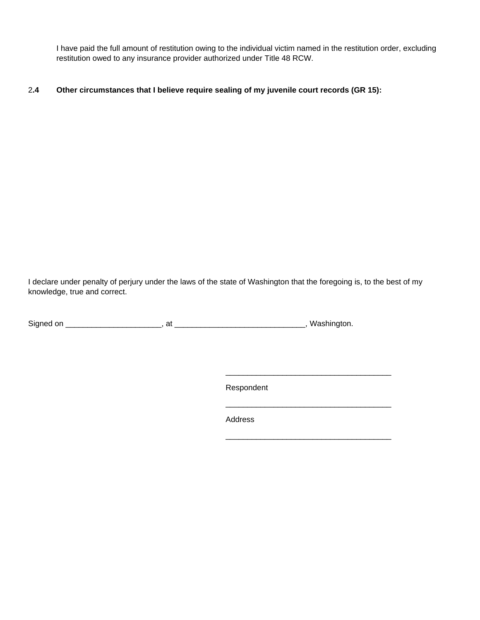I have paid the full amount of restitution owing to the individual victim named in the restitution order, excluding restitution owed to any insurance provider authorized under Title 48 RCW.

#### 2**.4 Other circumstances that I believe require sealing of my juvenile court records (GR 15):**

I declare under penalty of perjury under the laws of the state of Washington that the foregoing is, to the best of my knowledge, true and correct.

Signed on \_\_\_\_\_\_\_\_\_\_\_\_\_\_\_\_\_\_\_\_\_\_, at \_\_\_\_\_\_\_\_\_\_\_\_\_\_\_\_\_\_\_\_\_\_\_\_\_\_\_\_\_\_, Washington.

Respondent

\_\_\_\_\_\_\_\_\_\_\_\_\_\_\_\_\_\_\_\_\_\_\_\_\_\_\_\_\_\_\_\_\_\_\_\_\_\_

\_\_\_\_\_\_\_\_\_\_\_\_\_\_\_\_\_\_\_\_\_\_\_\_\_\_\_\_\_\_\_\_\_\_\_\_\_\_

**Address**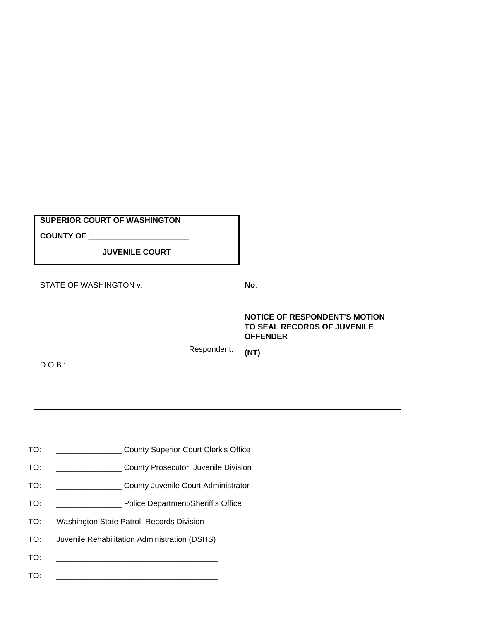| <b>NOTICE OF RESPONDENT'S MOTION</b><br>TO SEAL RECORDS OF JUVENILE |
|---------------------------------------------------------------------|
|                                                                     |
|                                                                     |
|                                                                     |

- TO: \_\_\_\_\_\_\_\_\_\_\_\_\_\_\_ County Superior Court Clerk's Office
- TO: \_\_\_\_\_\_\_\_\_\_\_\_\_\_\_ County Prosecutor, Juvenile Division
- TO: \_\_\_\_\_\_\_\_\_\_\_\_\_\_\_ County Juvenile Court Administrator
- TO: \_\_\_\_\_\_\_\_\_\_\_\_\_\_\_ Police Department/Sheriff's Office
- TO: Washington State Patrol, Records Division
- TO: Juvenile Rehabilitation Administration (DSHS)
- TO: \_\_\_\_\_\_\_\_\_\_\_\_\_\_\_\_\_\_\_\_\_\_\_\_\_\_\_\_\_\_\_\_\_\_\_\_\_
- TO: \_\_\_\_\_\_\_\_\_\_\_\_\_\_\_\_\_\_\_\_\_\_\_\_\_\_\_\_\_\_\_\_\_\_\_\_\_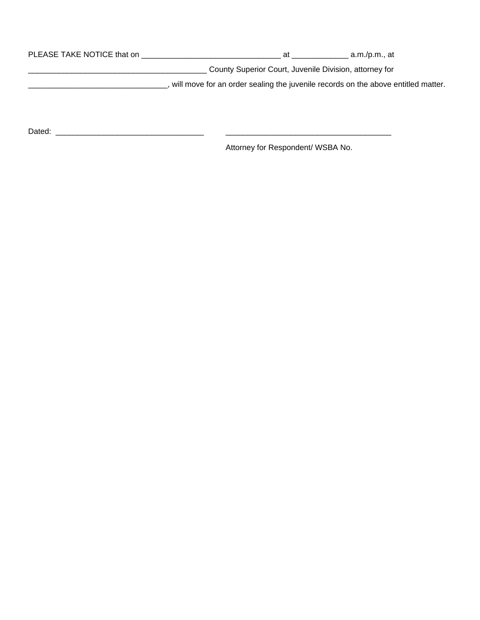| PLEASE TAKE NOTICE that on | at                                                                                | a.m./p.m., at |
|----------------------------|-----------------------------------------------------------------------------------|---------------|
|                            | County Superior Court, Juvenile Division, attorney for                            |               |
|                            | will move for an order sealing the juvenile records on the above entitled matter. |               |
|                            |                                                                                   |               |

Dated: \_\_\_\_\_\_\_\_\_\_\_\_\_\_\_\_\_\_\_\_\_\_\_\_\_\_\_\_\_\_\_\_\_\_ \_\_\_\_\_\_\_\_\_\_\_\_\_\_\_\_\_\_\_\_\_\_\_\_\_\_\_\_\_\_\_\_\_\_\_\_\_\_

Attorney for Respondent/ WSBA No.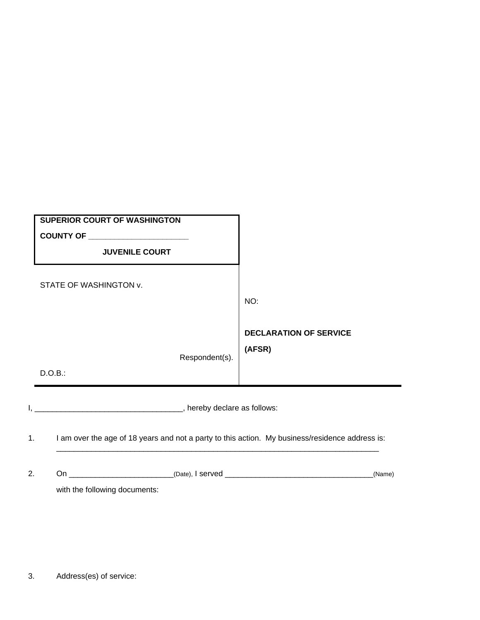| <b>SUPERIOR COURT OF WASHINGTON</b><br>COUNTY OF ______________________<br><b>JUVENILE COURT</b> |                                                |
|--------------------------------------------------------------------------------------------------|------------------------------------------------|
| STATE OF WASHINGTON v.<br>Respondent(s).                                                         | NO:<br><b>DECLARATION OF SERVICE</b><br>(AFSR) |
| D.O.B.:                                                                                          |                                                |
| _______, hereby declare as follows:                                                              |                                                |

1. I am over the age of 18 years and not a party to this action. My business/residence address is:

 $\frac{1}{2}$  ,  $\frac{1}{2}$  ,  $\frac{1}{2}$  ,  $\frac{1}{2}$  ,  $\frac{1}{2}$  ,  $\frac{1}{2}$  ,  $\frac{1}{2}$  ,  $\frac{1}{2}$  ,  $\frac{1}{2}$  ,  $\frac{1}{2}$  ,  $\frac{1}{2}$  ,  $\frac{1}{2}$  ,  $\frac{1}{2}$  ,  $\frac{1}{2}$  ,  $\frac{1}{2}$  ,  $\frac{1}{2}$  ,  $\frac{1}{2}$  ,  $\frac{1}{2}$  ,  $\frac{1$ 

| 2. |                               | (Date), I served | (Name) |
|----|-------------------------------|------------------|--------|
|    | with the following documents: |                  |        |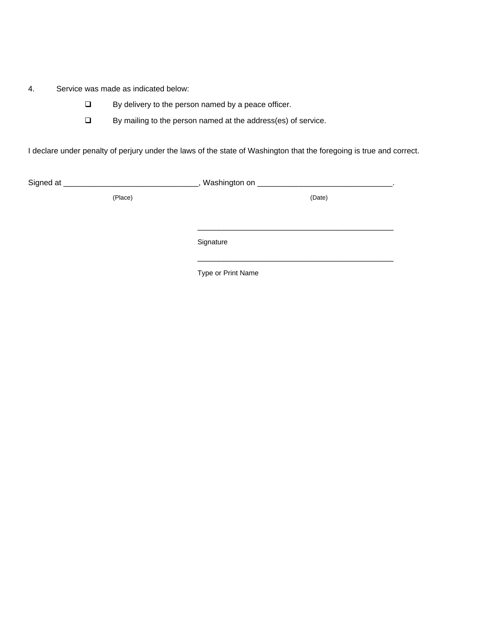4. Service was made as indicated below:

- □ By delivery to the person named by a peace officer.
- □ By mailing to the person named at the address(es) of service.

I declare under penalty of perjury under the laws of the state of Washington that the foregoing is true and correct.

| Signed at ______________________ | Washington on ___________________ |  |
|----------------------------------|-----------------------------------|--|
| (Place)                          | (Date)                            |  |
|                                  |                                   |  |
|                                  |                                   |  |
|                                  | Signature                         |  |

Type or Print Name

\_\_\_\_\_\_\_\_\_\_\_\_\_\_\_\_\_\_\_\_\_\_\_\_\_\_\_\_\_\_\_\_\_\_\_\_\_\_\_\_\_\_\_\_\_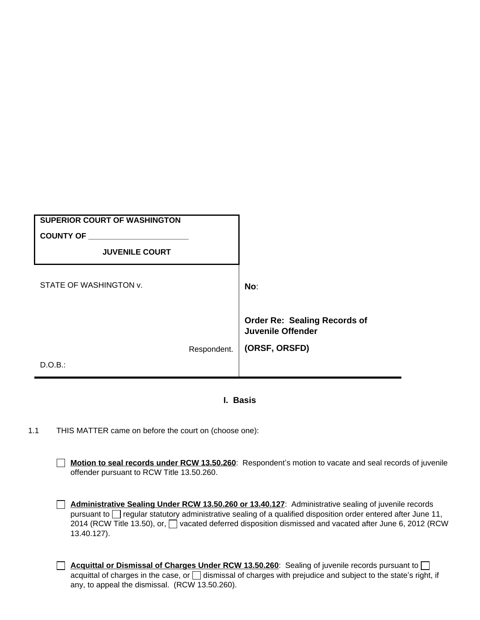| <b>SUPERIOR COURT OF WASHINGTON</b> |             |                                                                 |
|-------------------------------------|-------------|-----------------------------------------------------------------|
| <b>COUNTY OF</b>                    |             |                                                                 |
| <b>JUVENILE COURT</b>               |             |                                                                 |
|                                     |             |                                                                 |
| STATE OF WASHINGTON v.              |             | No:                                                             |
|                                     |             | <b>Order Re: Sealing Records of</b><br><b>Juvenile Offender</b> |
|                                     | Respondent. | (ORSF, ORSFD)                                                   |
| D.O.B.:                             |             |                                                                 |

### **I. Basis**

1.1 THIS MATTER came on before the court on (choose one):

**Motion to seal records under RCW 13.50.260**: Respondent's motion to vacate and seal records of juvenile offender pursuant to RCW Title 13.50.260.

- **Administrative Sealing Under RCW 13.50.260 or 13.40.127**: Administrative sealing of juvenile records pursuant to  $\Box$  regular statutory administrative sealing of a qualified disposition order entered after June 11, 2014 (RCW Title 13.50), or,  $\Box$  vacated deferred disposition dismissed and vacated after June 6, 2012 (RCW 13.40.127).
- **Acquittal or Dismissal of Charges Under RCW 13.50.260**: Sealing of juvenile records pursuant to  $\Box$ acquittal of charges in the case, or  $\Box$  dismissal of charges with prejudice and subject to the state's right, if any, to appeal the dismissal. (RCW 13.50.260).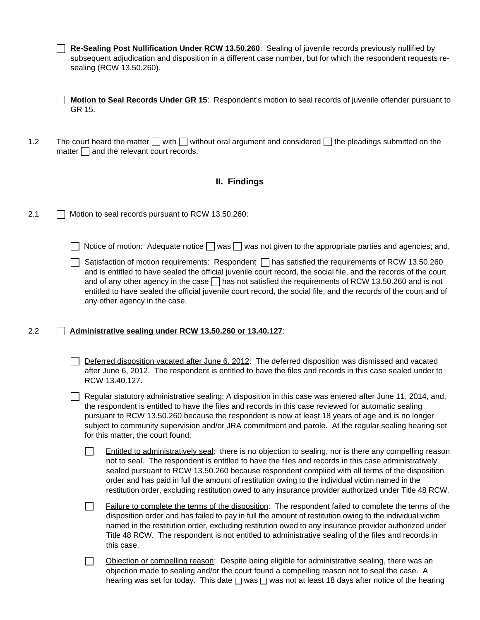**Re-Sealing Post Nullification Under RCW 13.50.260**: Sealing of juvenile records previously nullified by subsequent adjudication and disposition in a different case number, but for which the respondent requests resealing (RCW 13.50.260).

**Motion to Seal Records Under GR 15**: Respondent's motion to seal records of juvenile offender pursuant to GR 15.

1.2 The court heard the matter  $\Box$  with  $\Box$  without oral argument and considered  $\Box$  the pleadings submitted on the matter  $\Box$  and the relevant court records.

#### **II. Findings**

2.1 **Motion to seal records pursuant to RCW 13.50.260:** 

| Notice of motion: Adequate notice $\Box$ was $\Box$ was not given to the appropriate parties and agencies; and, |  |  |  |  |  |  |  |
|-----------------------------------------------------------------------------------------------------------------|--|--|--|--|--|--|--|
|-----------------------------------------------------------------------------------------------------------------|--|--|--|--|--|--|--|

| Satisfaction of motion requirements: Respondent $\Box$ has satisfied the requirements of RCW 13.50.260           |
|------------------------------------------------------------------------------------------------------------------|
| and is entitled to have sealed the official juvenile court record, the social file, and the records of the court |
| and of any other agency in the case $\Box$ has not satisfied the requirements of RCW 13.50.260 and is not        |
| entitled to have sealed the official juvenile court record, the social file, and the records of the court and of |
| any other agency in the case.                                                                                    |

#### 2.2 **Administrative sealing under RCW 13.50.260 or 13.40.127**:

 $\Box$  Deferred disposition vacated after June 6, 2012: The deferred disposition was dismissed and vacated after June 6, 2012. The respondent is entitled to have the files and records in this case sealed under to RCW 13.40.127.

Regular statutory administrative sealing: A disposition in this case was entered after June 11, 2014, and, the respondent is entitled to have the files and records in this case reviewed for automatic sealing pursuant to RCW 13.50.260 because the respondent is now at least 18 years of age and is no longer subject to community supervision and/or JRA commitment and parole. At the regular sealing hearing set for this matter, the court found:

 $\Box$ Entitled to administratively seal: there is no objection to sealing, nor is there any compelling reason not to seal. The respondent is entitled to have the files and records in this case administratively sealed pursuant to RCW 13.50.260 because respondent complied with all terms of the disposition order and has paid in full the amount of restitution owing to the individual victim named in the restitution order, excluding restitution owed to any insurance provider authorized under Title 48 RCW.

 $\Box$ Failure to complete the terms of the disposition: The respondent failed to complete the terms of the disposition order and has failed to pay in full the amount of restitution owing to the individual victim named in the restitution order, excluding restitution owed to any insurance provider authorized under Title 48 RCW. The respondent is not entitled to administrative sealing of the files and records in this case.

Objection or compelling reason: Despite being eligible for administrative sealing, there was an  $\Box$ objection made to sealing and/or the court found a compelling reason not to seal the case. A hearing was set for today. This date  $\square$  was  $\square$  was not at least 18 days after notice of the hearing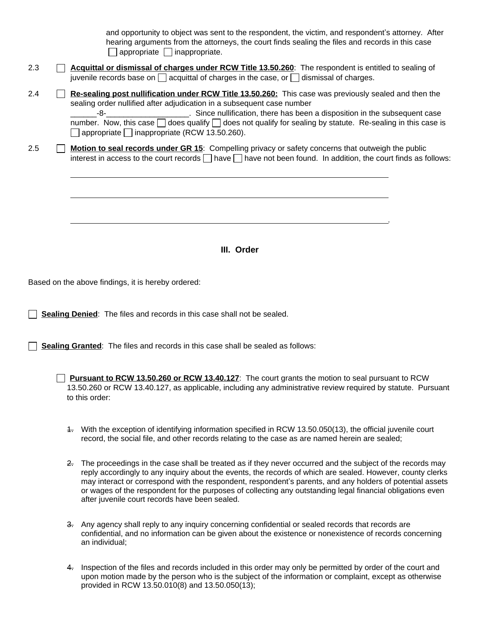and opportunity to object was sent to the respondent, the victim, and respondent's attorney. After hearing arguments from the attorneys, the court finds sealing the files and records in this case  $\Box$  appropriate  $\Box$  inappropriate.

.

- 2.3 **Acquittal or dismissal of charges under RCW Title 13.50.260**: The respondent is entitled to sealing of juvenile records base on  $\Box$  acquittal of charges in the case, or  $\Box$  dismissal of charges.
- 2.4 **Re-sealing post nullification under RCW Title 13.50.260:** This case was previously sealed and then the sealing order nullified after adjudication in a subsequent case number \_\_\_\_\_\_-8-\_\_\_\_\_\_\_\_\_\_\_\_\_\_\_\_\_\_\_. Since nullification, there has been a disposition in the subsequent case number. Now, this case  $\Box$  does qualify  $\Box$  does not qualify for sealing by statute. Re-sealing in this case is  $\Box$  appropriate  $\Box$  inappropriate (RCW 13.50.260).
- 2.5 **Ignor 10 Motion to seal records under GR 15**: Compelling privacy or safety concerns that outweigh the public interest in access to the court records  $\Box$  have  $\Box$  have not been found. In addition, the court finds as follows:

**III. Order**

Based on the above findings, it is hereby ordered:

 $\overline{a}$ 

**Sealing Denied:** The files and records in this case shall not be sealed.

**Sealing Granted**: The files and records in this case shall be sealed as follows:

**Pursuant to RCW 13.50.260 or RCW 13.40.127**: The court grants the motion to seal pursuant to RCW 13.50.260 or RCW 13.40.127, as applicable, including any administrative review required by statute. Pursuant to this order:

- 1. With the exception of identifying information specified in RCW 13.50.050(13), the official juvenile court record, the social file, and other records relating to the case as are named herein are sealed;
- 2. The proceedings in the case shall be treated as if they never occurred and the subject of the records may reply accordingly to any inquiry about the events, the records of which are sealed. However, county clerks may interact or correspond with the respondent, respondent's parents, and any holders of potential assets or wages of the respondent for the purposes of collecting any outstanding legal financial obligations even after juvenile court records have been sealed.
- 3. Any agency shall reply to any inquiry concerning confidential or sealed records that records are confidential, and no information can be given about the existence or nonexistence of records concerning an individual;
- 4. Inspection of the files and records included in this order may only be permitted by order of the court and upon motion made by the person who is the subject of the information or complaint, except as otherwise provided in RCW 13.50.010(8) and 13.50.050(13);